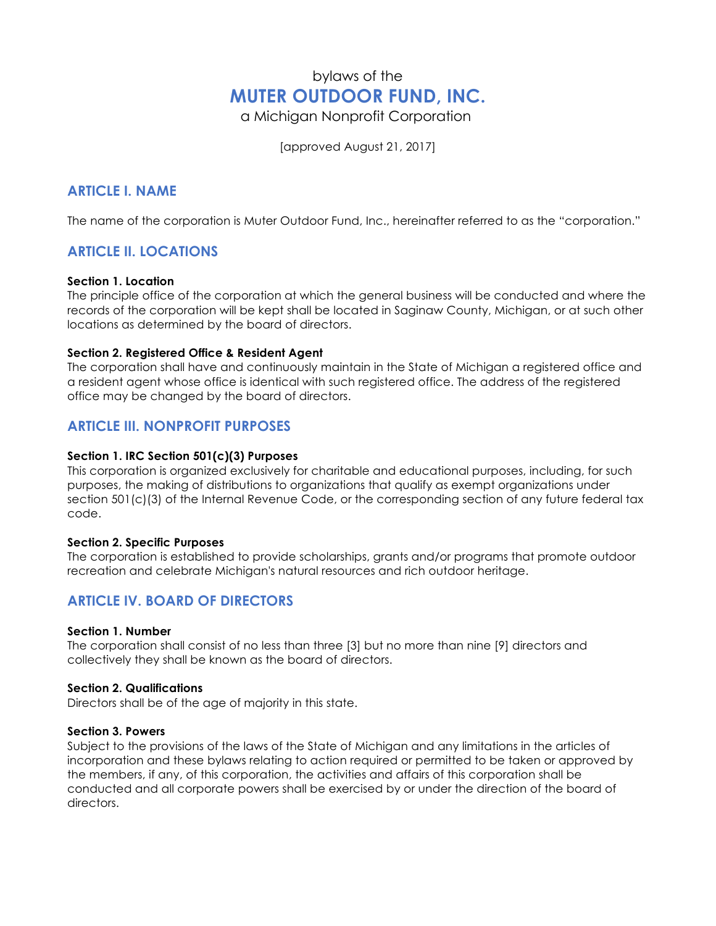# bylaws of the **MUTER OUTDOOR FUND, INC.**

a Michigan Nonprofit Corporation

[approved August 21, 2017]

## **ARTICLE I. NAME**

The name of the corporation is Muter Outdoor Fund, Inc., hereinafter referred to as the "corporation."

## **ARTICLE II. LOCATIONS**

### **Section 1. Location**

The principle office of the corporation at which the general business will be conducted and where the records of the corporation will be kept shall be located in Saginaw County, Michigan, or at such other locations as determined by the board of directors.

### **Section 2. Registered Office & Resident Agent**

The corporation shall have and continuously maintain in the State of Michigan a registered office and a resident agent whose office is identical with such registered office. The address of the registered office may be changed by the board of directors.

## **ARTICLE III. NONPROFIT PURPOSES**

### **Section 1. IRC Section 501(c)(3) Purposes**

This corporation is organized exclusively for charitable and educational purposes, including, for such purposes, the making of distributions to organizations that qualify as exempt organizations under section 501(c)(3) of the Internal Revenue Code, or the corresponding section of any future federal tax code.

### **Section 2. Specific Purposes**

The corporation is established to provide scholarships, grants and/or programs that promote outdoor recreation and celebrate Michigan's natural resources and rich outdoor heritage.

## **ARTICLE IV. BOARD OF DIRECTORS**

### **Section 1. Number**

The corporation shall consist of no less than three [3] but no more than nine [9] directors and collectively they shall be known as the board of directors.

### **Section 2. Qualifications**

Directors shall be of the age of majority in this state.

### **Section 3. Powers**

Subject to the provisions of the laws of the State of Michigan and any limitations in the articles of incorporation and these bylaws relating to action required or permitted to be taken or approved by the members, if any, of this corporation, the activities and affairs of this corporation shall be conducted and all corporate powers shall be exercised by or under the direction of the board of directors.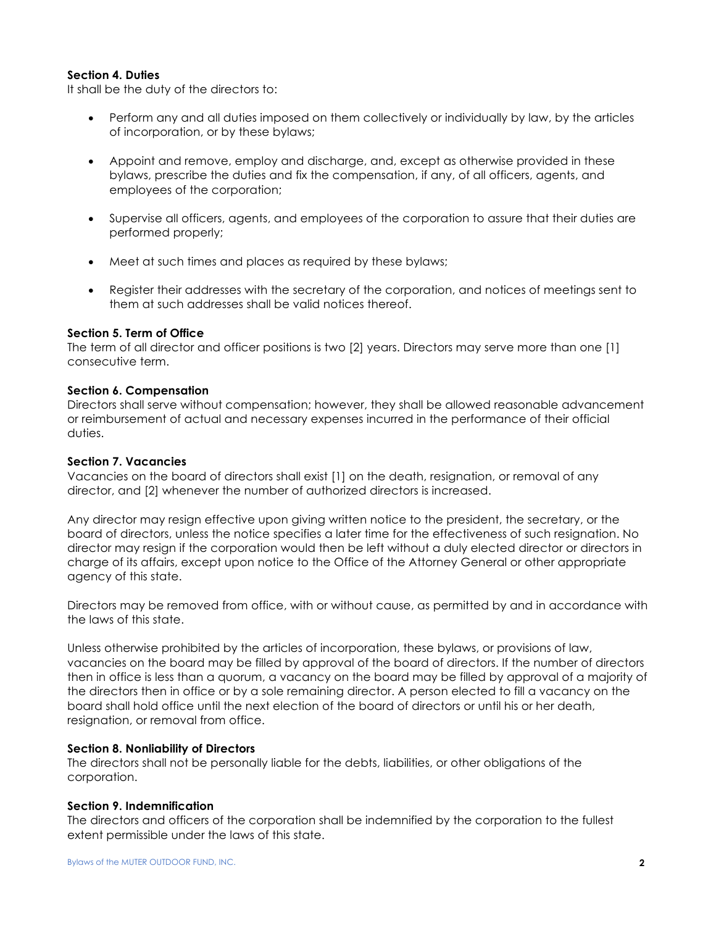### **Section 4. Duties**

It shall be the duty of the directors to:

- Perform any and all duties imposed on them collectively or individually by law, by the articles of incorporation, or by these bylaws;
- Appoint and remove, employ and discharge, and, except as otherwise provided in these bylaws, prescribe the duties and fix the compensation, if any, of all officers, agents, and employees of the corporation;
- Supervise all officers, agents, and employees of the corporation to assure that their duties are performed properly;
- Meet at such times and places as required by these bylaws;
- Register their addresses with the secretary of the corporation, and notices of meetings sent to them at such addresses shall be valid notices thereof.

#### **Section 5. Term of Office**

The term of all director and officer positions is two [2] years. Directors may serve more than one [1] consecutive term.

### **Section 6. Compensation**

Directors shall serve without compensation; however, they shall be allowed reasonable advancement or reimbursement of actual and necessary expenses incurred in the performance of their official duties.

### **Section 7. Vacancies**

Vacancies on the board of directors shall exist [1] on the death, resignation, or removal of any director, and [2] whenever the number of authorized directors is increased.

Any director may resign effective upon giving written notice to the president, the secretary, or the board of directors, unless the notice specifies a later time for the effectiveness of such resignation. No director may resign if the corporation would then be left without a duly elected director or directors in charge of its affairs, except upon notice to the Office of the Attorney General or other appropriate agency of this state.

Directors may be removed from office, with or without cause, as permitted by and in accordance with the laws of this state.

Unless otherwise prohibited by the articles of incorporation, these bylaws, or provisions of law, vacancies on the board may be filled by approval of the board of directors. If the number of directors then in office is less than a quorum, a vacancy on the board may be filled by approval of a majority of the directors then in office or by a sole remaining director. A person elected to fill a vacancy on the board shall hold office until the next election of the board of directors or until his or her death, resignation, or removal from office.

### **Section 8. Nonliability of Directors**

The directors shall not be personally liable for the debts, liabilities, or other obligations of the corporation.

#### **Section 9. Indemnification**

The directors and officers of the corporation shall be indemnified by the corporation to the fullest extent permissible under the laws of this state.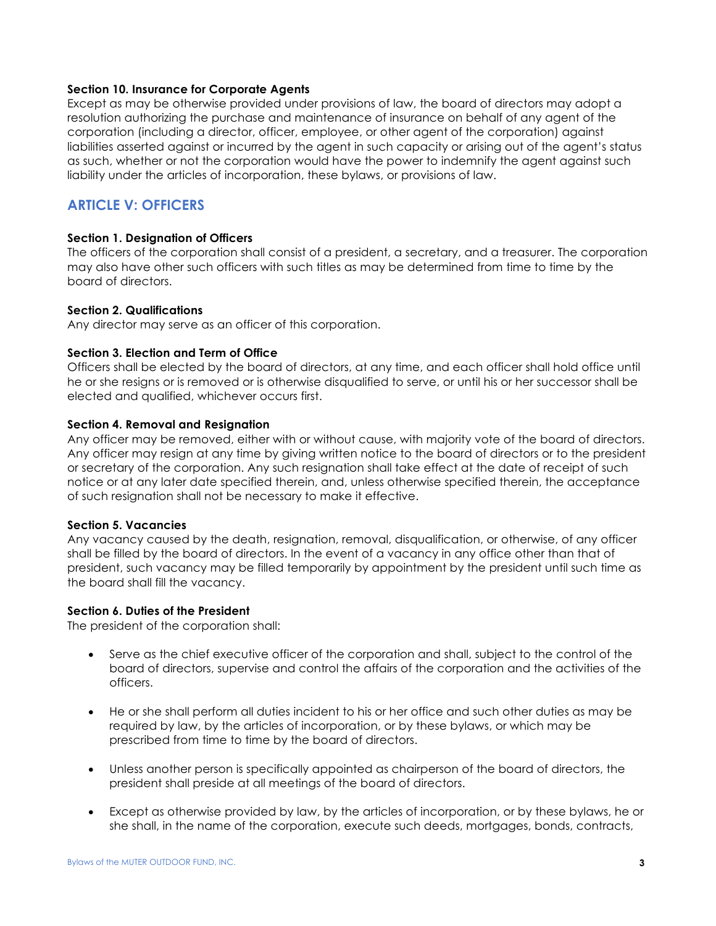### **Section 10. Insurance for Corporate Agents**

Except as may be otherwise provided under provisions of law, the board of directors may adopt a resolution authorizing the purchase and maintenance of insurance on behalf of any agent of the corporation (including a director, officer, employee, or other agent of the corporation) against liabilities asserted against or incurred by the agent in such capacity or arising out of the agent's status as such, whether or not the corporation would have the power to indemnify the agent against such liability under the articles of incorporation, these bylaws, or provisions of law.

## **ARTICLE V: OFFICERS**

### **Section 1. Designation of Officers**

The officers of the corporation shall consist of a president, a secretary, and a treasurer. The corporation may also have other such officers with such titles as may be determined from time to time by the board of directors.

### **Section 2. Qualifications**

Any director may serve as an officer of this corporation.

### **Section 3. Election and Term of Office**

Officers shall be elected by the board of directors, at any time, and each officer shall hold office until he or she resigns or is removed or is otherwise disqualified to serve, or until his or her successor shall be elected and qualified, whichever occurs first.

### **Section 4. Removal and Resignation**

Any officer may be removed, either with or without cause, with majority vote of the board of directors. Any officer may resign at any time by giving written notice to the board of directors or to the president or secretary of the corporation. Any such resignation shall take effect at the date of receipt of such notice or at any later date specified therein, and, unless otherwise specified therein, the acceptance of such resignation shall not be necessary to make it effective.

#### **Section 5. Vacancies**

Any vacancy caused by the death, resignation, removal, disqualification, or otherwise, of any officer shall be filled by the board of directors. In the event of a vacancy in any office other than that of president, such vacancy may be filled temporarily by appointment by the president until such time as the board shall fill the vacancy.

#### **Section 6. Duties of the President**

The president of the corporation shall:

- Serve as the chief executive officer of the corporation and shall, subject to the control of the board of directors, supervise and control the affairs of the corporation and the activities of the officers.
- He or she shall perform all duties incident to his or her office and such other duties as may be required by law, by the articles of incorporation, or by these bylaws, or which may be prescribed from time to time by the board of directors.
- Unless another person is specifically appointed as chairperson of the board of directors, the president shall preside at all meetings of the board of directors.
- Except as otherwise provided by law, by the articles of incorporation, or by these bylaws, he or she shall, in the name of the corporation, execute such deeds, mortgages, bonds, contracts,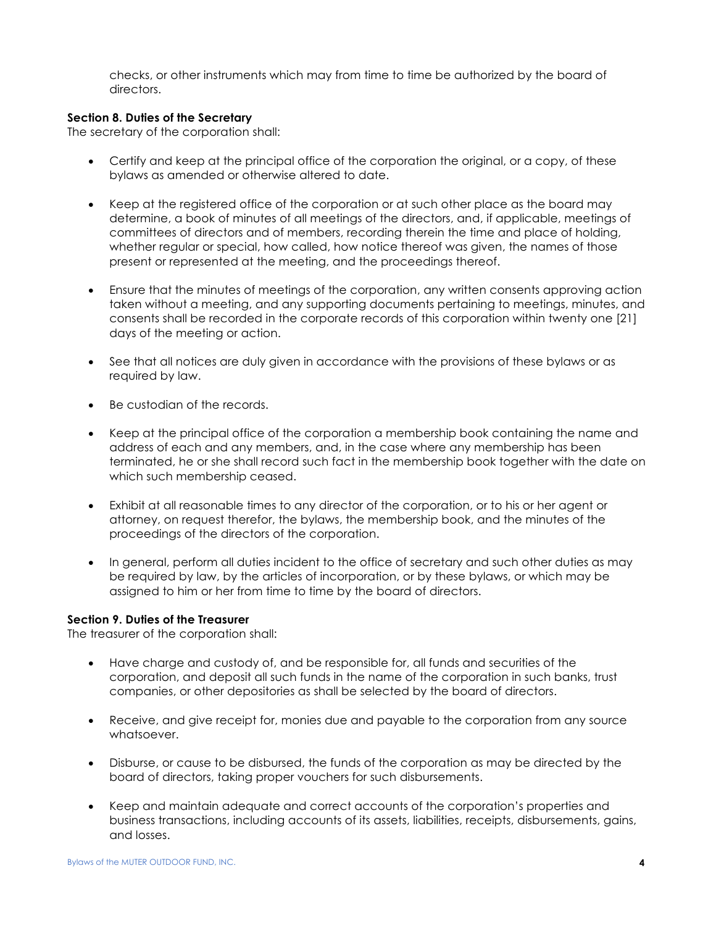checks, or other instruments which may from time to time be authorized by the board of directors.

### **Section 8. Duties of the Secretary**

The secretary of the corporation shall:

- Certify and keep at the principal office of the corporation the original, or a copy, of these bylaws as amended or otherwise altered to date.
- Keep at the registered office of the corporation or at such other place as the board may determine, a book of minutes of all meetings of the directors, and, if applicable, meetings of committees of directors and of members, recording therein the time and place of holding, whether regular or special, how called, how notice thereof was given, the names of those present or represented at the meeting, and the proceedings thereof.
- Ensure that the minutes of meetings of the corporation, any written consents approving action taken without a meeting, and any supporting documents pertaining to meetings, minutes, and consents shall be recorded in the corporate records of this corporation within twenty one [21] days of the meeting or action.
- See that all notices are duly given in accordance with the provisions of these bylaws or as required by law.
- Be custodian of the records.
- Keep at the principal office of the corporation a membership book containing the name and address of each and any members, and, in the case where any membership has been terminated, he or she shall record such fact in the membership book together with the date on which such membership ceased.
- Exhibit at all reasonable times to any director of the corporation, or to his or her agent or attorney, on request therefor, the bylaws, the membership book, and the minutes of the proceedings of the directors of the corporation.
- In general, perform all duties incident to the office of secretary and such other duties as may be required by law, by the articles of incorporation, or by these bylaws, or which may be assigned to him or her from time to time by the board of directors.

### **Section 9. Duties of the Treasurer**

The treasurer of the corporation shall:

- Have charge and custody of, and be responsible for, all funds and securities of the corporation, and deposit all such funds in the name of the corporation in such banks, trust companies, or other depositories as shall be selected by the board of directors.
- Receive, and give receipt for, monies due and payable to the corporation from any source whatsoever.
- Disburse, or cause to be disbursed, the funds of the corporation as may be directed by the board of directors, taking proper vouchers for such disbursements.
- Keep and maintain adequate and correct accounts of the corporation's properties and business transactions, including accounts of its assets, liabilities, receipts, disbursements, gains, and losses.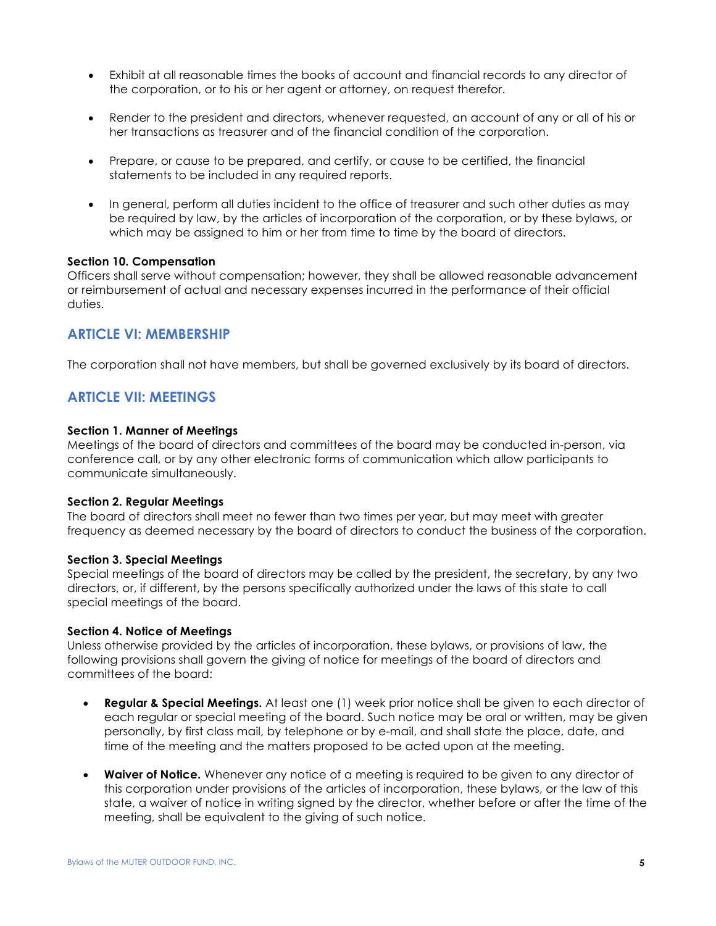- Exhibit at all reasonable times the books of account and financial records to any director of the corporation, or to his or her agent or attorney, on request therefor.
- Render to the president and directors, whenever requested, an account of any or all of his or her transactions as treasurer and of the financial condition of the corporation.
- Prepare, or cause to be prepared, and certify, or cause to be certified, the financial statements to be included in any required reports.
- In general, perform all duties incident to the office of treasurer and such other duties as may be required by law, by the articles of incorporation of the corporation, or by these bylaws, or which may be assigned to him or her from time to time by the board of directors.

#### **Section 10. Compensation**

Officers shall serve without compensation; however, they shall be allowed reasonable advancement or reimbursement of actual and necessary expenses incurred in the performance of their official duties.

### **ARTICLE VI: MEMBERSHIP**

The corporation shall not have members, but shall be governed exclusively by its board of directors.

## **ARTICLE VII: MEETINGS**

#### **Section 1. Manner of Meetings**

Meetings of the board of directors and committees of the board may be conducted in-person, via conference call, or by any other electronic forms of communication which allow participants to communicate simultaneously.

#### **Section 2. Regular Meetings**

The board of directors shall meet no fewer than two times per year, but may meet with greater frequency as deemed necessary by the board of directors to conduct the business of the corporation.

#### **Section 3. Special Meetings**

Special meetings of the board of directors may be called by the president, the secretary, by any two directors, or, if different, by the persons specifically authorized under the laws of this state to call special meetings of the board.

#### **Section 4. Notice of Meetings**

Unless otherwise provided by the articles of incorporation, these bylaws, or provisions of law, the following provisions shall govern the giving of notice for meetings of the board of directors and committees of the board:

- **Regular & Special Meetings.** At least one (1) week prior notice shall be given to each director of each regular or special meeting of the board. Such notice may be oral or written, may be given personally, by first class mail, by telephone or by e-mail, and shall state the place, date, and time of the meeting and the matters proposed to be acted upon at the meeting.
- **Waiver of Notice.** Whenever any notice of a meeting is required to be given to any director of this corporation under provisions of the articles of incorporation, these bylaws, or the law of this state, a waiver of notice in writing signed by the director, whether before or after the time of the meeting, shall be equivalent to the giving of such notice.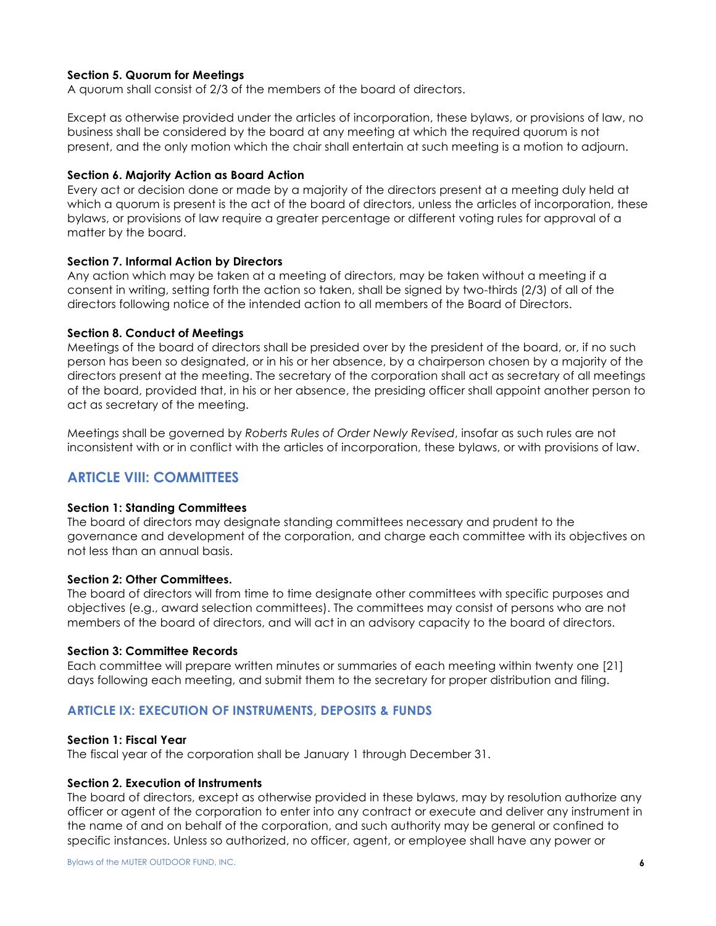### **Section 5. Quorum for Meetings**

A quorum shall consist of 2/3 of the members of the board of directors.

Except as otherwise provided under the articles of incorporation, these bylaws, or provisions of law, no business shall be considered by the board at any meeting at which the required quorum is not present, and the only motion which the chair shall entertain at such meeting is a motion to adjourn.

### **Section 6. Majority Action as Board Action**

Every act or decision done or made by a majority of the directors present at a meeting duly held at which a quorum is present is the act of the board of directors, unless the articles of incorporation, these bylaws, or provisions of law require a greater percentage or different voting rules for approval of a matter by the board.

### **Section 7. Informal Action by Directors**

Any action which may be taken at a meeting of directors, may be taken without a meeting if a consent in writing, setting forth the action so taken, shall be signed by two-thirds (2/3) of all of the directors following notice of the intended action to all members of the Board of Directors.

### **Section 8. Conduct of Meetings**

Meetings of the board of directors shall be presided over by the president of the board, or, if no such person has been so designated, or in his or her absence, by a chairperson chosen by a majority of the directors present at the meeting. The secretary of the corporation shall act as secretary of all meetings of the board, provided that, in his or her absence, the presiding officer shall appoint another person to act as secretary of the meeting.

Meetings shall be governed by *Roberts Rules of Order Newly Revised*, insofar as such rules are not inconsistent with or in conflict with the articles of incorporation, these bylaws, or with provisions of law.

## **ARTICLE VIII: COMMITTEES**

#### **Section 1: Standing Committees**

The board of directors may designate standing committees necessary and prudent to the governance and development of the corporation, and charge each committee with its objectives on not less than an annual basis.

### **Section 2: Other Committees.**

The board of directors will from time to time designate other committees with specific purposes and objectives (e.g., award selection committees). The committees may consist of persons who are not members of the board of directors, and will act in an advisory capacity to the board of directors.

#### **Section 3: Committee Records**

Each committee will prepare written minutes or summaries of each meeting within twenty one [21] days following each meeting, and submit them to the secretary for proper distribution and filing.

### **ARTICLE IX: EXECUTION OF INSTRUMENTS, DEPOSITS & FUNDS**

#### **Section 1: Fiscal Year**

The fiscal year of the corporation shall be January 1 through December 31.

#### **Section 2. Execution of Instruments**

The board of directors, except as otherwise provided in these bylaws, may by resolution authorize any officer or agent of the corporation to enter into any contract or execute and deliver any instrument in the name of and on behalf of the corporation, and such authority may be general or confined to specific instances. Unless so authorized, no officer, agent, or employee shall have any power or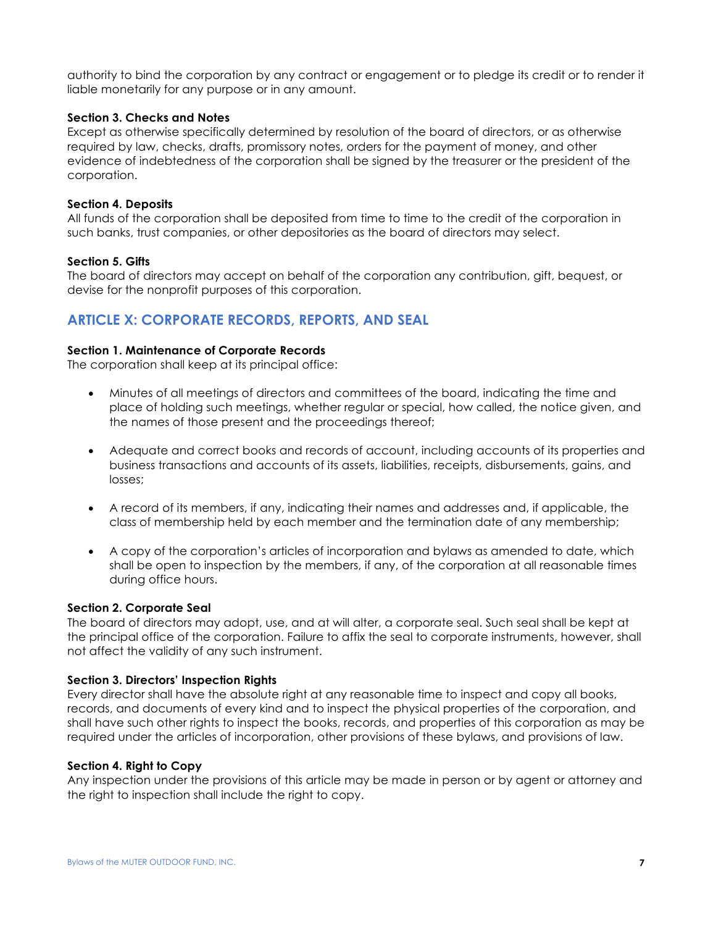authority to bind the corporation by any contract or engagement or to pledge its credit or to render it liable monetarily for any purpose or in any amount.

### **Section 3. Checks and Notes**

Except as otherwise specifically determined by resolution of the board of directors, or as otherwise required by law, checks, drafts, promissory notes, orders for the payment of money, and other evidence of indebtedness of the corporation shall be signed by the treasurer or the president of the corporation.

### **Section 4. Deposits**

All funds of the corporation shall be deposited from time to time to the credit of the corporation in such banks, trust companies, or other depositories as the board of directors may select.

### **Section 5. Gifts**

The board of directors may accept on behalf of the corporation any contribution, gift, bequest, or devise for the nonprofit purposes of this corporation.

## **ARTICLE X: CORPORATE RECORDS, REPORTS, AND SEAL**

### **Section 1. Maintenance of Corporate Records**

The corporation shall keep at its principal office:

- Minutes of all meetings of directors and committees of the board, indicating the time and place of holding such meetings, whether regular or special, how called, the notice given, and the names of those present and the proceedings thereof;
- Adequate and correct books and records of account, including accounts of its properties and business transactions and accounts of its assets, liabilities, receipts, disbursements, gains, and losses;
- A record of its members, if any, indicating their names and addresses and, if applicable, the class of membership held by each member and the termination date of any membership;
- A copy of the corporation's articles of incorporation and bylaws as amended to date, which shall be open to inspection by the members, if any, of the corporation at all reasonable times during office hours.

#### **Section 2. Corporate Seal**

The board of directors may adopt, use, and at will alter, a corporate seal. Such seal shall be kept at the principal office of the corporation. Failure to affix the seal to corporate instruments, however, shall not affect the validity of any such instrument.

#### **Section 3. Directors' Inspection Rights**

Every director shall have the absolute right at any reasonable time to inspect and copy all books, records, and documents of every kind and to inspect the physical properties of the corporation, and shall have such other rights to inspect the books, records, and properties of this corporation as may be required under the articles of incorporation, other provisions of these bylaws, and provisions of law.

#### **Section 4. Right to Copy**

Any inspection under the provisions of this article may be made in person or by agent or attorney and the right to inspection shall include the right to copy.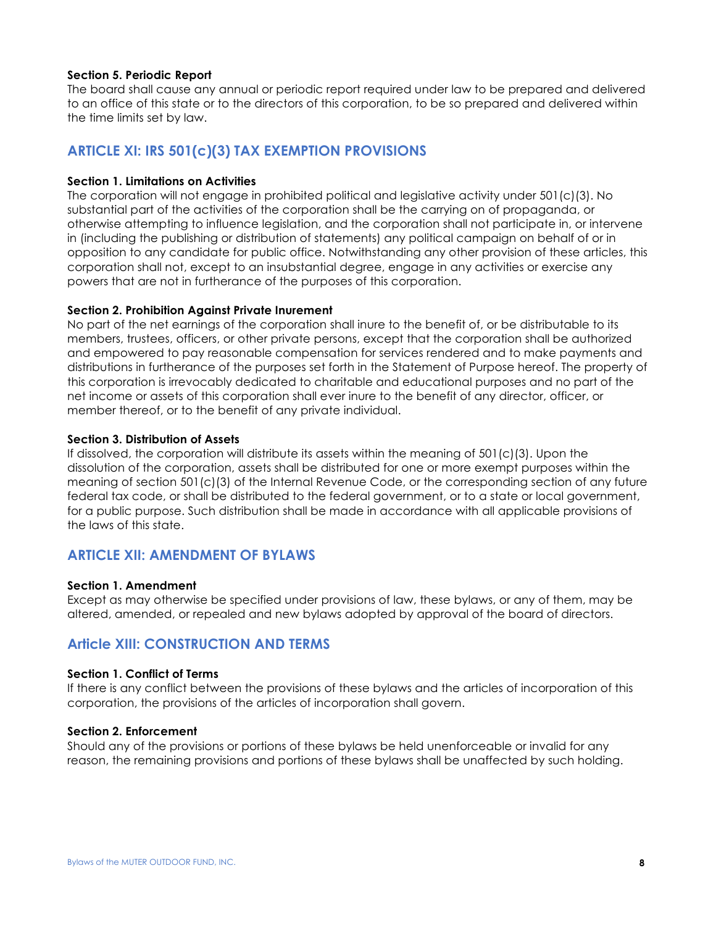### **Section 5. Periodic Report**

The board shall cause any annual or periodic report required under law to be prepared and delivered to an office of this state or to the directors of this corporation, to be so prepared and delivered within the time limits set by law.

## **ARTICLE XI: IRS 501(c)(3) TAX EXEMPTION PROVISIONS**

### **Section 1. Limitations on Activities**

The corporation will not engage in prohibited political and legislative activity under 501(c)(3). No substantial part of the activities of the corporation shall be the carrying on of propaganda, or otherwise attempting to influence legislation, and the corporation shall not participate in, or intervene in (including the publishing or distribution of statements) any political campaign on behalf of or in opposition to any candidate for public office. Notwithstanding any other provision of these articles, this corporation shall not, except to an insubstantial degree, engage in any activities or exercise any powers that are not in furtherance of the purposes of this corporation.

### **Section 2. Prohibition Against Private Inurement**

No part of the net earnings of the corporation shall inure to the benefit of, or be distributable to its members, trustees, officers, or other private persons, except that the corporation shall be authorized and empowered to pay reasonable compensation for services rendered and to make payments and distributions in furtherance of the purposes set forth in the Statement of Purpose hereof. The property of this corporation is irrevocably dedicated to charitable and educational purposes and no part of the net income or assets of this corporation shall ever inure to the benefit of any director, officer, or member thereof, or to the benefit of any private individual.

#### **Section 3. Distribution of Assets**

If dissolved, the corporation will distribute its assets within the meaning of 501(c)(3). Upon the dissolution of the corporation, assets shall be distributed for one or more exempt purposes within the meaning of section 501(c)(3) of the Internal Revenue Code, or the corresponding section of any future federal tax code, or shall be distributed to the federal government, or to a state or local government, for a public purpose. Such distribution shall be made in accordance with all applicable provisions of the laws of this state.

## **ARTICLE XII: AMENDMENT OF BYLAWS**

#### **Section 1. Amendment**

Except as may otherwise be specified under provisions of law, these bylaws, or any of them, may be altered, amended, or repealed and new bylaws adopted by approval of the board of directors.

## **Article XIII: CONSTRUCTION AND TERMS**

#### **Section 1. Conflict of Terms**

If there is any conflict between the provisions of these bylaws and the articles of incorporation of this corporation, the provisions of the articles of incorporation shall govern.

#### **Section 2. Enforcement**

Should any of the provisions or portions of these bylaws be held unenforceable or invalid for any reason, the remaining provisions and portions of these bylaws shall be unaffected by such holding.